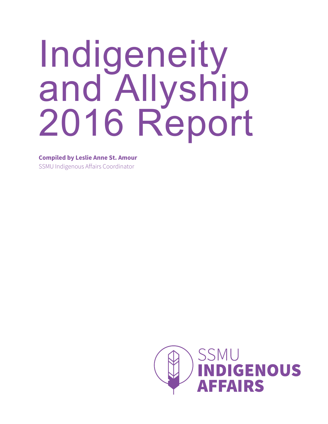# Indigeneity and Allyship 2016 Report

**Compiled by Leslie Anne St. Amour**

SSMU Indigenous Affairs Coordinator

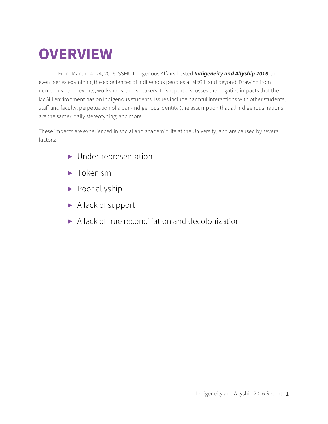## **OVERVIEW**

From March 14–24, 2016, SSMU Indigenous Affairs hosted *Indigeneity and Allyship 2016*, an event series examining the experiences of Indigenous peoples at McGill and beyond. Drawing from numerous panel events, workshops, and speakers, this report discusses the negative impacts that the McGill environment has on Indigenous students. Issues include harmful interactions with other students, staff and faculty; perpetuation of a pan-Indigenous identity (the assumption that all Indigenous nations are the same); daily stereotyping; and more.

These impacts are experienced in social and academic life at the University, and are caused by several factors:

- ▶ Under-representation
- ▶ Tokenism
- ▶ Poor allyship
- ▶ A lack of support
- ▶ A lack of true reconciliation and decolonization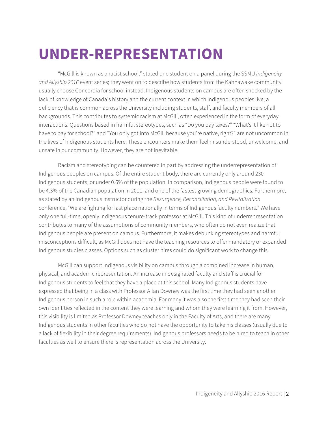### **UNDER-REPRESENTATION**

"McGill is known as a racist school," stated one student on a panel during the SSMU *Indigeneity and Allyship 2016* event series; they went on to describe how students from the Kahnawake community usually choose Concordia for school instead. Indigenous students on campus are often shocked by the lack of knowledge of Canada's history and the current context in which Indigenous peoples live, a deficiency that is common across the University including students, staff, and faculty members of all backgrounds. This contributes to systemic racism at McGill, often experienced in the form of everyday interactions. Questions based in harmful stereotypes, such as "Do you pay taxes?" "What's it like not to have to pay for school?" and "You only got into McGill because you're native, right?" are not uncommon in the lives of Indigenous students here. These encounters make them feel misunderstood, unwelcome, and unsafe in our community. However, they are not inevitable.

Racism and stereotyping can be countered in part by addressing the underrepresentation of Indigenous peoples on campus. Of the entire student body, there are currently only around 230 Indigenous students, or under 0.6% of the population. In comparison, Indigenous people were found to be 4.3% of the Canadian population in 2011, and one of the fastest growing demographics. Furthermore, as stated by an Indigenous instructor during the *Resurgence, Reconciliation, and Revitalization* conference, "We are fighting for last place nationally in terms of Indigenous faculty numbers." We have only one full-time, openly Indigenous tenure-track professor at McGill. This kind of underrepresentation contributes to many of the assumptions of community members, who often do not even realize that Indigenous people are present on campus. Furthermore, it makes debunking stereotypes and harmful misconceptions difficult, as McGill does not have the teaching resources to offer mandatory or expanded Indigenous studies classes. Options such as cluster hires could do significant work to change this.

McGill can support Indigenous visibility on campus through a combined increase in human, physical, and academic representation. An increase in designated faculty and staff is crucial for Indigenous students to feel that they have a place at this school. Many Indigenous students have expressed that being in a class with Professor Allan Downey was the first time they had seen another Indigenous person in such a role within academia. For many it was also the first time they had seen their own identities reflected in the content they were learning and whom they were learning it from. However, this visibility is limited as Professor Downey teaches only in the Faculty of Arts, and there are many Indigenous students in other faculties who do not have the opportunity to take his classes (usually due to a lack of flexibility in their degree requirements). Indigenous professors needs to be hired to teach in other faculties as well to ensure there is representation across the University.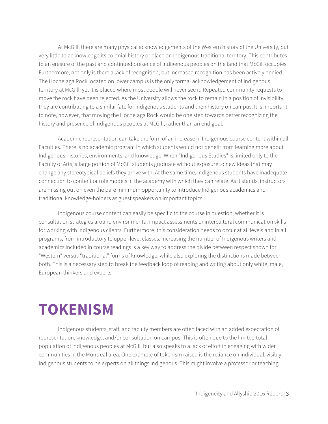At McGill, there are many physical acknowledgements of the Western history of the University, but very little to acknowledge its colonial history or place on Indigenous traditional territory. This contributes to an erasure of the past and continued presence of Indigenous peoples on the land that McGill occupies. Furthermore, not only is there a lack of recognition, but increased recognition has been actively denied. The Hochelaga Rock located on lower campus is the only formal acknowledgement of Indigenous territory at McGill, yet it is placed where most people will never see it. Repeated community requests to move the rock have been rejected. As the University allows the rock to remain in a position of invisibility, they are contributing to a similar fate for Indigenous students and their history on campus. It is important to note, however, that moving the Hochelaga Rock would be one step towards better recognizing the history and presence of Indigenous peoples at McGill, rather than an end goal.

Academic representation can take the form of an increase in Indigenous course content within all Faculties. There is no academic program in which students would not benefit from learning more about Indigenous histories, environments, and knowledge. When "Indigenous Studies" is limited only to the Faculty of Arts, a large portion of McGill students graduate without exposure to new ideas that may change any stereotypical beliefs they arrive with. At the same time, Indigenous students have inadequate connection to content or role models in the academy with which they can relate. As it stands, instructors are missing out on even the bare minimum opportunity to introduce Indigenous academics and traditional knowledge-holders as guest speakers on important topics.

Indigenous course content can easily be specific to the course in question, whether it is consultation strategies around environmental impact assessments or intercultural communication skills for working with Indigenous clients. Furthermore, this consideration needs to occur at all levels and in all programs, from introductory to upper-level classes. Increasing the number of Indigenous writers and academics included in course readings is a key way to address the divide between respect shown for "Western" versus "traditional" forms of knowledge, while also exploring the distinctions made between both. This is a necessary step to break the feedback loop of reading and writing about only white, male, European thinkers and experts.

#### **TOKENISM**

Indigenous students, staff, and faculty members are often faced with an added expectation of representation, knowledge, and/or consultation on campus. This is often due to the limited total population of Indigenous peoples at McGill, but also speaks to a lack of effort in engaging with wider communities in the Montreal area. One example of tokenism raised is the reliance on individual, visibly Indigenous students to be experts on all things Indigenous. This might involve a professor or teaching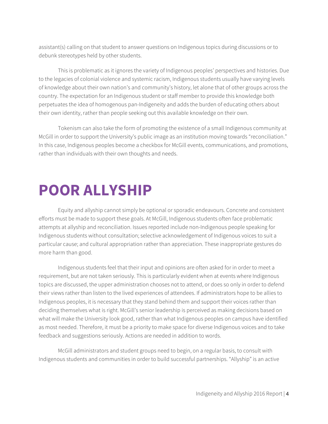assistant(s) calling on that student to answer questions on Indigenous topics during discussions or to debunk stereotypes held by other students.

This is problematic as it ignores the variety of Indigenous peoples' perspectives and histories. Due to the legacies of colonial violence and systemic racism, Indigenous students usually have varying levels of knowledge about their own nation's and community's history, let alone that of other groups across the country. The expectation for an Indigenous student or staff member to provide this knowledge both perpetuates the idea of homogenous pan-Indigeneity and adds the burden of educating others about their own identity, rather than people seeking out this available knowledge on their own.

Tokenism can also take the form of promoting the existence of a small Indigenous community at McGill in order to support the University's public image as an institution moving towards "reconciliation." In this case, Indigenous peoples become a checkbox for McGill events, communications, and promotions, rather than individuals with their own thoughts and needs.

#### **POOR ALLYSHIP**

Equity and allyship cannot simply be optional or sporadic endeavours. Concrete and consistent efforts must be made to support these goals. At McGill, Indigenous students often face problematic attempts at allyship and reconciliation. Issues reported include non-Indigenous people speaking for Indigenous students without consultation; selective acknowledgement of Indigenous voices to suit a particular cause; and cultural appropriation rather than appreciation. These inappropriate gestures do more harm than good.

Indigenous students feel that their input and opinions are often asked for in order to meet a requirement, but are not taken seriously. This is particularly evident when at events where Indigenous topics are discussed, the upper administration chooses not to attend, or does so only in order to defend their views rather than listen to the lived experiences of attendees. If administrators hope to be allies to Indigenous peoples, it is necessary that they stand behind them and support their voices rather than deciding themselves what is right. McGill's senior leadership is perceived as making decisions based on what will make the University look good, rather than what Indigenous peoples on campus have identified as most needed. Therefore, it must be a priority to make space for diverse Indigenous voices and to take feedback and suggestions seriously. Actions are needed in addition to words.

McGill administrators and student groups need to begin, on a regular basis, to consult with Indigenous students and communities in order to build successful partnerships. "Allyship" is an active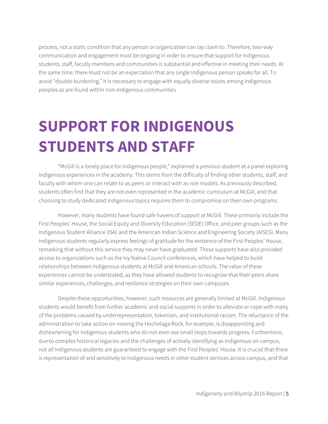process, not a static condition that any person or organization can lay claim to. Therefore, two-way communication and engagement must be ongoing in order to ensure that support for Indigenous students, staff, faculty members and communities is substantial and effective in meeting their needs. At the same time, there must not be an expectation that any single Indigenous person speaks for all. To avoid "double-burdening," it is necessary to engage with equally diverse voices among Indigenous peoples as are found within non-Indigenous communities.

## **SUPPORT FOR INDIGENOUS STUDENTS AND STAFF**

"McGill is a lonely place for Indigenous people," explained a previous student at a panel exploring Indigenous experiences in the academy. This stems from the difficulty of finding other students, staff, and faculty with whom one can relate to as peers or interact with as role models. As previously described, students often find that they are not even represented in the academic curriculum at McGill, and that choosing to study dedicated Indigenous topics requires them to compromise on their own programs.

However, many students have found safe havens of support at McGill. These primarily include the First Peoples' House, the Social Equity and Diversity Education (SEDE) Office, and peer groups such as the Indigenous Student Alliance (ISA) and the American Indian Science and Engineering Society (AISES). Many Indigenous students regularly express feelings of gratitude for the existence of the First Peoples' House, remarking that without this service they may never have graduated. These supports have also provided access to organizations such as the Ivy Native Council conferences, which have helped to build relationships between Indigenous students at McGill and American schools. The value of these experiences cannot be understated, as they have allowed students to recognize that their peers share similar experiences, challenges, and resilience strategies on their own campuses.

Despite these opportunities, however, such resources are generally limited at McGill. Indigenous students would benefit from further academic and social supports in order to alleviate or cope with many of the problems caused by underrepresentation, tokenism, and institutional racism. The reluctance of the administration to take action on moving the Hochelaga Rock, for example, is disappointing and disheartening for Indigenous students who do not even see small steps towards progress. Furthermore, due to complex historical legacies and the challenges of actively identifying as Indigenous on campus, not all Indigenous students are guaranteed to engage with the First Peoples' House. It is crucial that there is representation of and sensitivity to Indigenous needs in other student services across campus, and that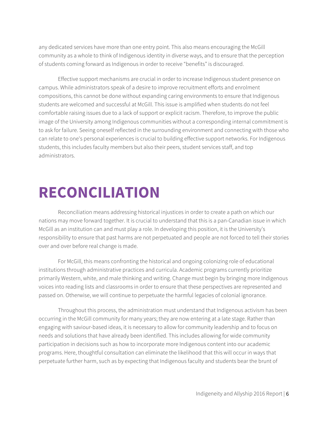any dedicated services have more than one entry point. This also means encouraging the McGill community as a whole to think of Indigenous identity in diverse ways, and to ensure that the perception of students coming forward as Indigenous in order to receive "benefits" is discouraged.

Effective support mechanisms are crucial in order to increase Indigenous student presence on campus. While administrators speak of a desire to improve recruitment efforts and enrolment compositions, this cannot be done without expanding caring environments to ensure that Indigenous students are welcomed and successful at McGill. This issue is amplified when students do not feel comfortable raising issues due to a lack of support or explicit racism. Therefore, to improve the public image of the University among Indigenous communities without a corresponding internal commitment is to ask for failure. Seeing oneself reflected in the surrounding environment and connecting with those who can relate to one's personal experiences is crucial to building effective support networks. For Indigenous students, this includes faculty members but also their peers, student services staff, and top administrators.

#### **RECONCILIATION**

Reconciliation means addressing historical injustices in order to create a path on which our nations may move forward together. It is crucial to understand that this is a pan-Canadian issue in which McGill as an institution can and must play a role. In developing this position, it is the University's responsibility to ensure that past harms are not perpetuated and people are not forced to tell their stories over and over before real change is made.

For McGill, this means confronting the historical and ongoing colonizing role of educational institutions through administrative practices and curricula. Academic programs currently prioritize primarily Western, white, and male thinking and writing. Change must begin by bringing more Indigenous voices into reading lists and classrooms in order to ensure that these perspectives are represented and passed on. Otherwise, we will continue to perpetuate the harmful legacies of colonial ignorance.

Throughout this process, the administration must understand that Indigenous activism has been occurring in the McGill community for many years; they are now entering at a late stage. Rather than engaging with saviour-based ideas, it is necessary to allow for community leadership and to focus on needs and solutions that have already been identified. This includes allowing for wide community participation in decisions such as how to incorporate more Indigenous content into our academic programs. Here, thoughtful consultation can eliminate the likelihood that this will occur in ways that perpetuate further harm, such as by expecting that Indigenous faculty and students bear the brunt of